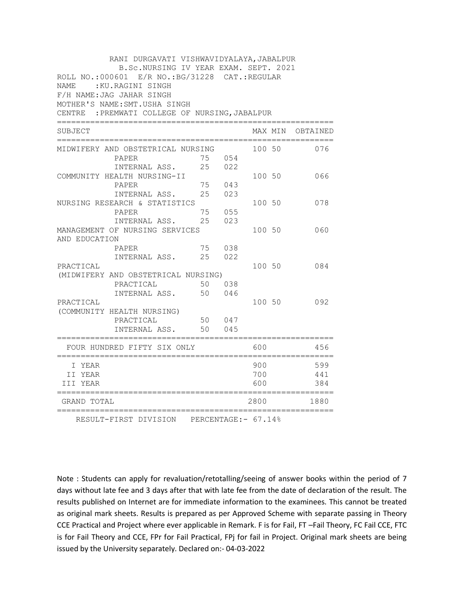| RANI DURGAVATI VISHWAVIDYALAYA, JABALPUR                                                                                                        |        |        |        |  |                  |  |  |
|-------------------------------------------------------------------------------------------------------------------------------------------------|--------|--------|--------|--|------------------|--|--|
| B.Sc.NURSING IV YEAR EXAM. SEPT. 2021<br>ROLL NO.:000601 E/R NO.: BG/31228 CAT.: REGULAR<br>NAME : KU.RAGINI SINGH<br>F/H NAME: JAG JAHAR SINGH |        |        |        |  |                  |  |  |
| MOTHER'S NAME: SMT. USHA SINGH<br>CENTRE : PREMWATI COLLEGE OF NURSING, JABALPUR                                                                |        |        |        |  |                  |  |  |
| SUBJECT                                                                                                                                         |        |        |        |  | MAX MIN OBTAINED |  |  |
| MIDWIFERY AND OBSTETRICAL NURSING                                                                                                               |        |        | 100 50 |  | 076              |  |  |
| PAPER                                                                                                                                           |        | 75 054 |        |  |                  |  |  |
| INTERNAL ASS.                                                                                                                                   | 25     | 022    |        |  |                  |  |  |
| COMMUNITY HEALTH NURSING-II                                                                                                                     |        |        | 100 50 |  | 066              |  |  |
| PAPER                                                                                                                                           |        | 75 043 |        |  |                  |  |  |
| INTERNAL ASS.                                                                                                                                   |        | 25 023 |        |  |                  |  |  |
| NURSING RESEARCH & STATISTICS                                                                                                                   |        |        | 100 50 |  | 078              |  |  |
| PAPER                                                                                                                                           | 75     | 055    |        |  |                  |  |  |
| INTERNAL ASS.                                                                                                                                   | 25     | 023    |        |  |                  |  |  |
| MANAGEMENT OF NURSING SERVICES                                                                                                                  |        |        | 100 50 |  | 060              |  |  |
| AND EDUCATION                                                                                                                                   |        |        |        |  |                  |  |  |
| PAPER                                                                                                                                           | 75 038 |        |        |  |                  |  |  |
| INTERNAL ASS. 25                                                                                                                                |        | 022    |        |  |                  |  |  |
| PRACTICAL                                                                                                                                       |        |        | 100 50 |  | 084              |  |  |
| (MIDWIFERY AND OBSTETRICAL NURSING)                                                                                                             |        |        |        |  |                  |  |  |
| PRACTICAL                                                                                                                                       |        | 50 038 |        |  |                  |  |  |
| INTERNAL ASS.                                                                                                                                   | 50     | 046    |        |  |                  |  |  |
| PRACTICAL                                                                                                                                       |        |        | 100 50 |  | 092              |  |  |
| (COMMUNITY HEALTH NURSING)                                                                                                                      |        |        |        |  |                  |  |  |
| PRACTICAL                                                                                                                                       |        | 50 047 |        |  |                  |  |  |
| INTERNAL ASS.<br>------------------------------------                                                                                           | 50     | 045    |        |  |                  |  |  |
| FOUR HUNDRED FIFTY SIX ONLY                                                                                                                     |        |        | 600    |  | 456              |  |  |
| I YEAR                                                                                                                                          |        |        | 900    |  | 599              |  |  |
| II YEAR                                                                                                                                         |        |        | 700    |  | 441              |  |  |
| III YEAR                                                                                                                                        |        |        | 600    |  | 384              |  |  |
| GRAND TOTAL                                                                                                                                     |        |        | 2800   |  | 1880             |  |  |
| RESULT-FIRST DIVISION PERCENTAGE: - 67.14%                                                                                                      |        |        |        |  |                  |  |  |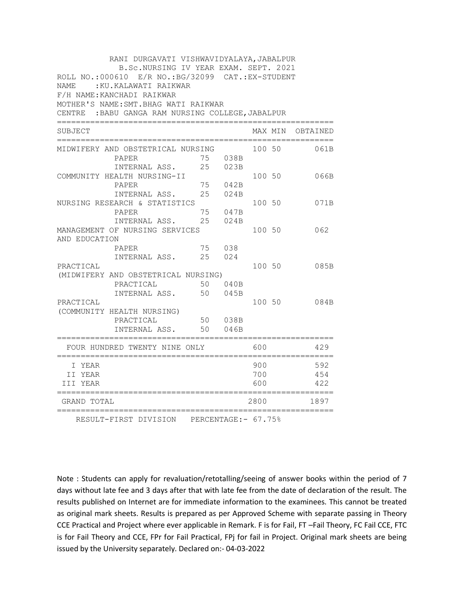| RANI DURGAVATI VISHWAVIDYALAYA, JABALPUR                                                    |    |         |        |  |                   |  |
|---------------------------------------------------------------------------------------------|----|---------|--------|--|-------------------|--|
| B.Sc.NURSING IV YEAR EXAM. SEPT. 2021<br>ROLL NO.:000610 E/R NO.: BG/32099 CAT.: EX-STUDENT |    |         |        |  |                   |  |
| NAME: : KU.KALAWATI RAIKWAR                                                                 |    |         |        |  |                   |  |
| F/H NAME: KANCHADI RAIKWAR                                                                  |    |         |        |  |                   |  |
| MOTHER'S NAME: SMT. BHAG WATI RAIKWAR                                                       |    |         |        |  |                   |  |
| CENTRE : BABU GANGA RAM NURSING COLLEGE, JABALPUR                                           |    |         |        |  |                   |  |
| SUBJECT                                                                                     |    |         |        |  | MAX MIN OBTAINED  |  |
| MIDWIFERY AND OBSTETRICAL NURSING                                                           |    |         | 100 50 |  | 061B              |  |
| PAPER                                                                                       |    | 75 038B |        |  |                   |  |
| INTERNAL ASS.                                                                               | 25 | 023B    |        |  |                   |  |
| COMMUNITY HEALTH NURSING-II                                                                 |    |         | 100 50 |  | 066B              |  |
| PAPER                                                                                       | 75 | 042B    |        |  |                   |  |
| INTERNAL ASS.                                                                               | 25 | 024B    |        |  |                   |  |
| NURSING RESEARCH & STATISTICS                                                               |    |         | 100 50 |  | 071B              |  |
| PAPER                                                                                       | 75 | 047B    |        |  |                   |  |
| INTERNAL ASS.                                                                               | 25 | 024B    |        |  |                   |  |
| MANAGEMENT OF NURSING SERVICES                                                              |    |         | 100 50 |  | 062               |  |
| AND EDUCATION<br>PAPER                                                                      |    | 75 038  |        |  |                   |  |
| INTERNAL ASS.                                                                               | 25 | 024     |        |  |                   |  |
| PRACTICAL                                                                                   |    |         | 100 50 |  | 085B              |  |
| (MIDWIFERY AND OBSTETRICAL NURSING)                                                         |    |         |        |  |                   |  |
| PRACTICAL                                                                                   |    | 50 040B |        |  |                   |  |
| INTERNAL ASS.                                                                               | 50 | 045B    |        |  |                   |  |
| PRACTICAL                                                                                   |    |         | 100 50 |  | 084B              |  |
| (COMMUNITY HEALTH NURSING)                                                                  |    |         |        |  |                   |  |
| PRACTICAL                                                                                   |    | 50 038B |        |  |                   |  |
| INTERNAL ASS.                                                                               | 50 | 046B    |        |  |                   |  |
| FOUR HUNDRED TWENTY NINE ONLY                                                               |    |         | 600    |  | 429               |  |
| I YEAR                                                                                      |    |         | 900    |  | 592               |  |
| II YEAR                                                                                     |    |         | 700    |  | 454               |  |
| III YEAR                                                                                    |    |         | 600    |  | 422               |  |
| ===========<br>GRAND TOTAL                                                                  |    |         | 2800   |  | =========<br>1897 |  |
| RESULT-FIRST DIVISION PERCENTAGE: - 67.75%                                                  |    |         |        |  |                   |  |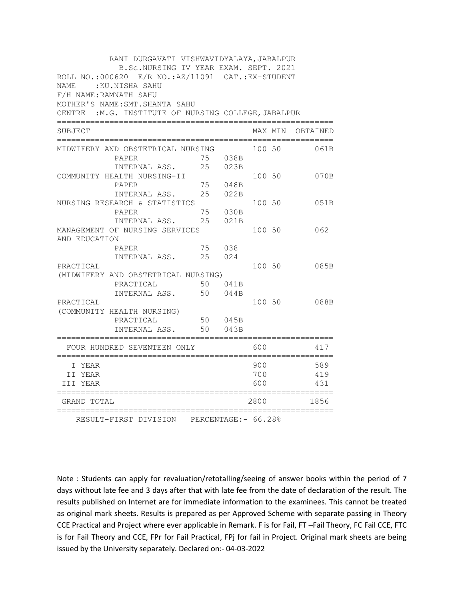| RANI DURGAVATI VISHWAVIDYALAYA, JABALPUR<br>B.Sc.NURSING IV YEAR EXAM. SEPT. 2021       |        |         |        |        |                    |  |
|-----------------------------------------------------------------------------------------|--------|---------|--------|--------|--------------------|--|
| ROLL NO.: 000620 E/R NO.: AZ/11091 CAT.: EX-STUDENT                                     |        |         |        |        |                    |  |
| NAME: : KU.NISHA SAHU                                                                   |        |         |        |        |                    |  |
| F/H NAME: RAMNATH SAHU                                                                  |        |         |        |        |                    |  |
| MOTHER'S NAME: SMT. SHANTA SAHU<br>CENTRE : M.G. INSTITUTE OF NURSING COLLEGE, JABALPUR |        |         |        |        |                    |  |
|                                                                                         |        |         |        |        |                    |  |
| SUBJECT                                                                                 |        |         |        |        | MAX MIN OBTAINED   |  |
| MIDWIFERY AND OBSTETRICAL NURSING                                                       |        |         | 100 50 |        | 061B               |  |
| PAPER                                                                                   |        | 75 038B |        |        |                    |  |
| INTERNAL ASS. 25 023B                                                                   |        |         |        |        |                    |  |
| COMMUNITY HEALTH NURSING-II                                                             |        |         |        | 100 50 | 070B               |  |
| PAPER                                                                                   |        | 75 048B |        |        |                    |  |
| INTERNAL ASS.                                                                           | 25     | 022B    |        |        |                    |  |
| NURSING RESEARCH & STATISTICS                                                           |        |         | 100 50 |        | 051B               |  |
| PAPER                                                                                   | 75     | 030B    |        |        |                    |  |
| INTERNAL ASS. 25                                                                        |        | 021B    |        |        |                    |  |
| MANAGEMENT OF NURSING SERVICES                                                          |        |         |        | 100 50 | 062                |  |
| AND EDUCATION                                                                           |        |         |        |        |                    |  |
| PAPER                                                                                   | 75 038 |         |        |        |                    |  |
| INTERNAL ASS. 25 024                                                                    |        |         |        |        |                    |  |
| PRACTICAL                                                                               |        |         |        | 100 50 | 085B               |  |
| (MIDWIFERY AND OBSTETRICAL NURSING)                                                     |        |         |        |        |                    |  |
| PRACTICAL                                                                               |        | 50 041B |        |        |                    |  |
| INTERNAL ASS. 50                                                                        |        | 044B    |        |        |                    |  |
| PRACTICAL                                                                               |        |         | 100 50 |        | 088B               |  |
| (COMMUNITY HEALTH NURSING)                                                              |        |         |        |        |                    |  |
| PRACTICAL                                                                               |        | 50 045B |        |        |                    |  |
| INTERNAL ASS.                                                                           | 50     | 043B    |        |        |                    |  |
| FOUR HUNDRED SEVENTEEN ONLY                                                             |        |         | 600    |        | 417                |  |
| I YEAR                                                                                  |        |         | 900    |        | 589                |  |
| II YEAR                                                                                 |        |         | 700    |        | 419                |  |
| III YEAR                                                                                |        |         | 600    |        | 431                |  |
| ============<br>GRAND TOTAL                                                             |        |         | 2800   |        | ==========<br>1856 |  |
| RESULT-FIRST DIVISION PERCENTAGE: - 66.28%                                              |        |         |        |        |                    |  |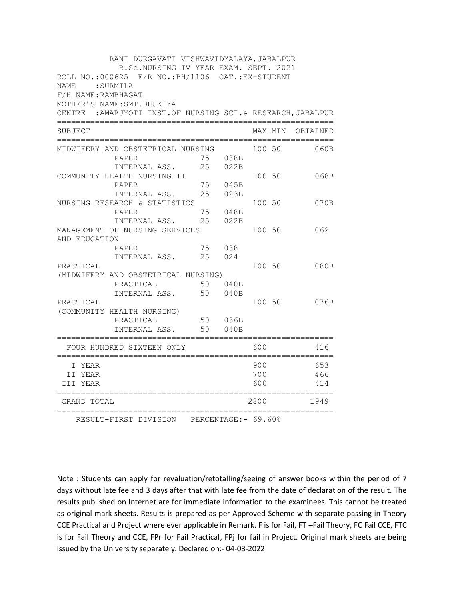| RANI DURGAVATI VISHWAVIDYALAYA, JABALPUR                                                    |                                                              |    |        |        |         |                      |
|---------------------------------------------------------------------------------------------|--------------------------------------------------------------|----|--------|--------|---------|----------------------|
| B.Sc.NURSING IV YEAR EXAM. SEPT. 2021<br>ROLL NO.: 000625 E/R NO.: BH/1106 CAT.: EX-STUDENT |                                                              |    |        |        |         |                      |
| <b>NAME</b><br>: SURMILA                                                                    |                                                              |    |        |        |         |                      |
| F/H NAME: RAMBHAGAT                                                                         |                                                              |    |        |        |         |                      |
|                                                                                             | MOTHER'S NAME: SMT. BHUKIYA                                  |    |        |        |         |                      |
|                                                                                             | CENTRE : AMARJYOTI INST.OF NURSING SCI. & RESEARCH, JABALPUR |    |        |        |         |                      |
| SUBJECT                                                                                     |                                                              |    |        |        | MAX MIN | OBTAINED             |
|                                                                                             | MIDWIFERY AND OBSTETRICAL NURSING                            |    |        | 100 50 |         | 060B                 |
|                                                                                             | PAPER                                                        | 75 | 038B   |        |         |                      |
|                                                                                             | INTERNAL ASS.                                                | 25 | 022B   |        |         |                      |
|                                                                                             | COMMUNITY HEALTH NURSING-II                                  |    |        | 100 50 |         | 068B                 |
|                                                                                             | PAPER                                                        | 75 | 045B   |        |         |                      |
|                                                                                             | INTERNAL ASS.                                                | 25 | 023B   |        |         |                      |
|                                                                                             | NURSING RESEARCH & STATISTICS                                |    |        | 100 50 |         | 070B                 |
|                                                                                             | PAPER                                                        | 75 | 048B   |        |         |                      |
|                                                                                             | INTERNAL ASS.                                                | 25 | 022B   |        |         |                      |
|                                                                                             | MANAGEMENT OF NURSING SERVICES                               |    |        | 100 50 |         | 062                  |
| AND EDUCATION                                                                               |                                                              |    |        |        |         |                      |
|                                                                                             | PAPER                                                        | 75 | 038    |        |         |                      |
|                                                                                             | INTERNAL ASS.                                                | 25 | 024    | 100 50 |         |                      |
| PRACTICAL                                                                                   | (MIDWIFERY AND OBSTETRICAL NURSING)                          |    |        |        |         | 080B                 |
|                                                                                             | PRACTICAL                                                    | 50 | 040B   |        |         |                      |
|                                                                                             | INTERNAL ASS.                                                | 50 | 040B   |        |         |                      |
| PRACTICAL                                                                                   |                                                              |    |        | 100 50 |         | 076B                 |
|                                                                                             | (COMMUNITY HEALTH NURSING)                                   |    |        |        |         |                      |
|                                                                                             | PRACTICAL                                                    | 50 | 036B   |        |         |                      |
|                                                                                             | INTERNAL ASS.                                                | 50 | 040B   |        |         |                      |
|                                                                                             | =================================                            |    |        |        |         |                      |
|                                                                                             | FOUR HUNDRED SIXTEEN ONLY                                    |    |        | 600    |         | 416                  |
| I YEAR                                                                                      |                                                              |    |        | 900    |         | 653                  |
| II YEAR                                                                                     |                                                              |    |        | 700    |         | 466                  |
| III YEAR                                                                                    |                                                              |    |        | 600    |         | 414                  |
| ==========<br>GRAND TOTAL                                                                   |                                                              |    | ====== | 2800   |         | ============<br>1949 |
|                                                                                             | RESULT-FIRST DIVISION PERCENTAGE: - 69.60%                   |    |        |        |         |                      |